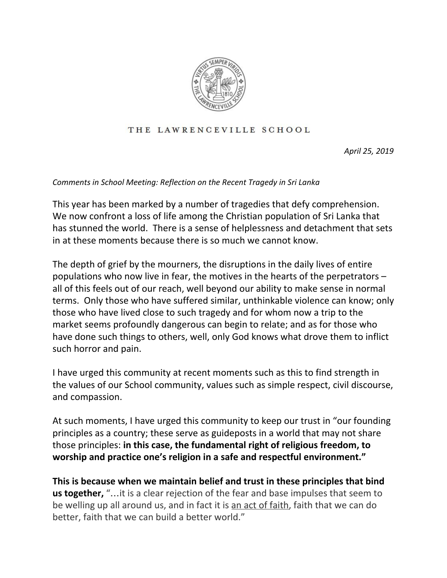

## THE LAWRENCEVILLE SCHOOL

*April 25, 2019*

## *Comments in School Meeting: Reflection on the Recent Tragedy in Sri Lanka*

This year has been marked by a number of tragedies that defy comprehension. We now confront a loss of life among the Christian population of Sri Lanka that has stunned the world. There is a sense of helplessness and detachment that sets in at these moments because there is so much we cannot know.

The depth of grief by the mourners, the disruptions in the daily lives of entire populations who now live in fear, the motives in the hearts of the perpetrators – all of this feels out of our reach, well beyond our ability to make sense in normal terms. Only those who have suffered similar, unthinkable violence can know; only those who have lived close to such tragedy and for whom now a trip to the market seems profoundly dangerous can begin to relate; and as for those who have done such things to others, well, only God knows what drove them to inflict such horror and pain.

I have urged this community at recent moments such as this to find strength in the values of our School community, values such as simple respect, civil discourse, and compassion.

At such moments, I have urged this community to keep our trust in "our founding principles as a country; these serve as guideposts in a world that may not share those principles: **in this case, the fundamental right of religious freedom, to worship and practice one's religion in a safe and respectful environment."**

**This is because when we maintain belief and trust in these principles that bind us together,** "…it is a clear rejection of the fear and base impulses that seem to be welling up all around us, and in fact it is an act of faith, faith that we can do better, faith that we can build a better world."